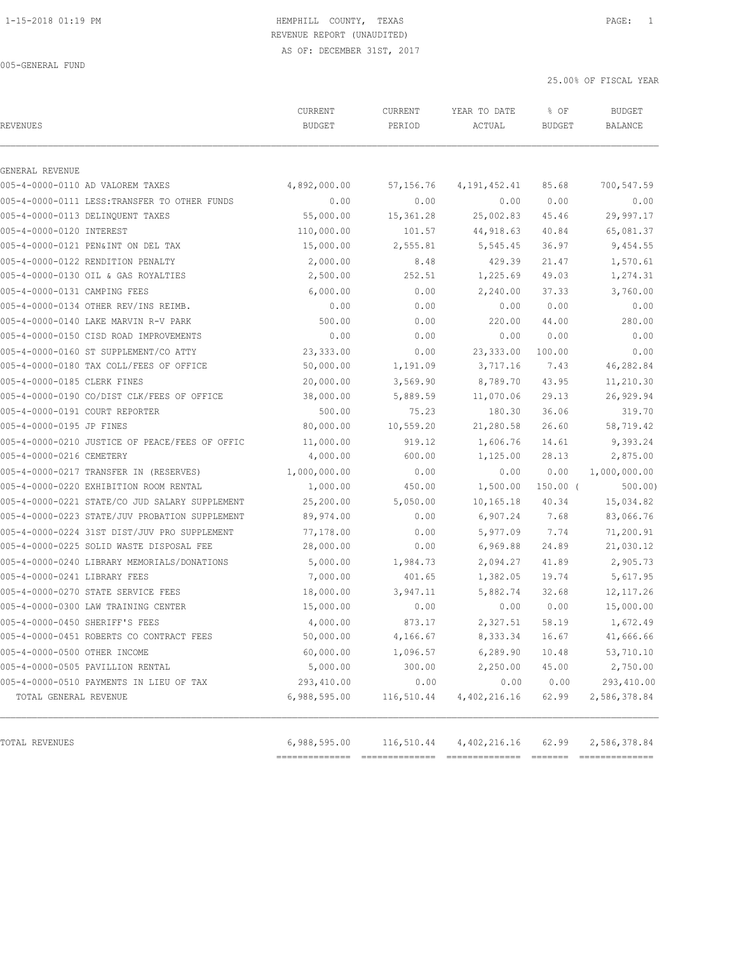# 1-15-2018 01:19 PM HEMPHILL COUNTY, TEXAS PAGE: 1 REVENUE REPORT (UNAUDITED)

AS OF: DECEMBER 31ST, 2017

005-GENERAL FUND

| <b>REVENUES</b>                                | CURRENT<br><b>BUDGET</b> | CURRENT<br>PERIOD | YEAR TO DATE<br>ACTUAL | % OF<br><b>BUDGET</b> | <b>BUDGET</b><br><b>BALANCE</b> |
|------------------------------------------------|--------------------------|-------------------|------------------------|-----------------------|---------------------------------|
| GENERAL REVENUE                                |                          |                   |                        |                       |                                 |
| 005-4-0000-0110 AD VALOREM TAXES               | 4,892,000.00             | 57,156.76         | 4,191,452.41           | 85.68                 | 700,547.59                      |
| 005-4-0000-0111 LESS: TRANSFER TO OTHER FUNDS  | 0.00                     | 0.00              | 0.00                   | 0.00                  | 0.00                            |
| 005-4-0000-0113 DELINQUENT TAXES               | 55,000.00                | 15,361.28         | 25,002.83              | 45.46                 | 29,997.17                       |
| 005-4-0000-0120 INTEREST                       | 110,000.00               | 101.57            | 44,918.63              | 40.84                 | 65,081.37                       |
| 005-4-0000-0121 PEN&INT ON DEL TAX             | 15,000.00                | 2,555.81          | 5,545.45               | 36.97                 | 9,454.55                        |
| 005-4-0000-0122 RENDITION PENALTY              | 2,000.00                 | 8.48              | 429.39                 | 21.47                 | 1,570.61                        |
| 005-4-0000-0130 OIL & GAS ROYALTIES            | 2,500.00                 | 252.51            | 1,225.69               | 49.03                 | 1,274.31                        |
| 005-4-0000-0131 CAMPING FEES                   | 6,000.00                 | 0.00              | 2,240.00               | 37.33                 | 3,760.00                        |
| 005-4-0000-0134 OTHER REV/INS REIMB.           | 0.00                     | 0.00              | 0.00                   | 0.00                  | 0.00                            |
| 005-4-0000-0140 LAKE MARVIN R-V PARK           | 500.00                   | 0.00              | 220.00                 | 44.00                 | 280.00                          |
| 005-4-0000-0150 CISD ROAD IMPROVEMENTS         | 0.00                     | 0.00              | 0.00                   | 0.00                  | 0.00                            |
| 005-4-0000-0160 ST SUPPLEMENT/CO ATTY          | 23,333.00                | 0.00              | 23, 333.00             | 100.00                | 0.00                            |
| 005-4-0000-0180 TAX COLL/FEES OF OFFICE        | 50,000.00                | 1,191.09          | 3,717.16               | 7.43                  | 46,282.84                       |
| 005-4-0000-0185 CLERK FINES                    | 20,000.00                | 3,569.90          | 8,789.70               | 43.95                 | 11,210.30                       |
| 005-4-0000-0190 CO/DIST CLK/FEES OF OFFICE     | 38,000.00                | 5,889.59          | 11,070.06              | 29.13                 | 26,929.94                       |
| 005-4-0000-0191 COURT REPORTER                 | 500.00                   | 75.23             | 180.30                 | 36.06                 | 319.70                          |
| 005-4-0000-0195 JP FINES                       | 80,000.00                | 10,559.20         | 21,280.58              | 26.60                 | 58,719.42                       |
| 005-4-0000-0210 JUSTICE OF PEACE/FEES OF OFFIC | 11,000.00                | 919.12            | 1,606.76               | 14.61                 | 9,393.24                        |
| 005-4-0000-0216 CEMETERY                       | 4,000.00                 | 600.00            | 1,125.00               | 28.13                 | 2,875.00                        |
| 005-4-0000-0217 TRANSFER IN (RESERVES)         | 1,000,000.00             | 0.00              | 0.00                   | 0.00                  | 1,000,000.00                    |
| 005-4-0000-0220 EXHIBITION ROOM RENTAL         | 1,000.00                 | 450.00            | 1,500.00               | $150.00$ (            | 500.00                          |
| 005-4-0000-0221 STATE/CO JUD SALARY SUPPLEMENT | 25,200.00                | 5,050.00          | 10,165.18              | 40.34                 | 15,034.82                       |
| 005-4-0000-0223 STATE/JUV PROBATION SUPPLEMENT | 89,974.00                | 0.00              | 6,907.24               | 7.68                  | 83,066.76                       |
| 005-4-0000-0224 31ST DIST/JUV PRO SUPPLEMENT   | 77,178.00                | 0.00              | 5,977.09               | 7.74                  | 71,200.91                       |
| 005-4-0000-0225 SOLID WASTE DISPOSAL FEE       | 28,000.00                | 0.00              | 6,969.88               | 24.89                 | 21,030.12                       |
| 005-4-0000-0240 LIBRARY MEMORIALS/DONATIONS    | 5,000.00                 | 1,984.73          | 2,094.27               | 41.89                 | 2,905.73                        |
| 005-4-0000-0241 LIBRARY FEES                   | 7,000.00                 | 401.65            | 1,382.05               | 19.74                 | 5,617.95                        |
| 005-4-0000-0270 STATE SERVICE FEES             | 18,000.00                | 3,947.11          | 5,882.74               | 32.68                 | 12, 117.26                      |
| 005-4-0000-0300 LAW TRAINING CENTER            | 15,000.00                | 0.00              | 0.00                   | 0.00                  | 15,000.00                       |
| 005-4-0000-0450 SHERIFF'S FEES                 | 4,000.00                 | 873.17            | 2,327.51               | 58.19                 | 1,672.49                        |
| 005-4-0000-0451 ROBERTS CO CONTRACT FEES       | 50,000.00                | 4,166.67          | 8, 333.34              | 16.67                 | 41,666.66                       |
| 005-4-0000-0500 OTHER INCOME                   | 60,000.00                | 1,096.57          | 6, 289.90              | 10.48                 | 53,710.10                       |
| 005-4-0000-0505 PAVILLION RENTAL               | 5,000.00                 | 300.00            | 2,250.00               | 45.00                 | 2,750.00                        |
| 005-4-0000-0510 PAYMENTS IN LIEU OF TAX        | 293,410.00               | 0.00              | 0.00                   | 0.00                  | 293,410.00                      |
| TOTAL GENERAL REVENUE                          | 6,988,595.00             | 116,510.44        | 4, 402, 216.16         | 62.99                 | 2,586,378.84                    |
| TOTAL REVENUES                                 | 6,988,595.00             | 116,510.44        | 4,402,216.16           | 62.99                 | 2,586,378.84                    |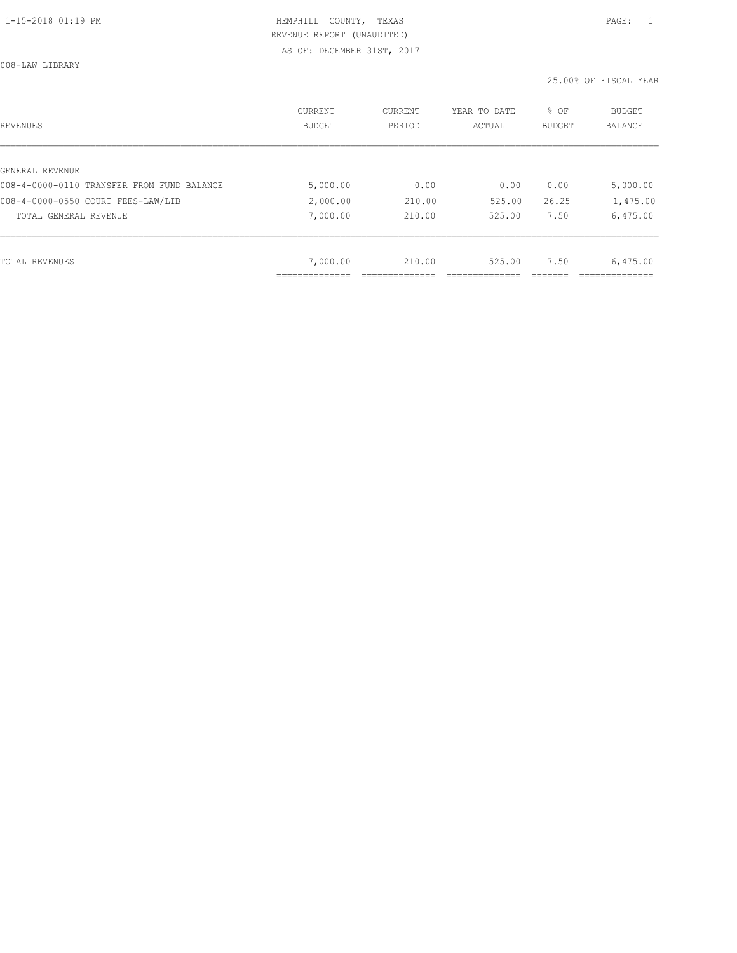008-LAW LIBRARY

| REVENUES                                   | CURRENT<br><b>BUDGET</b> | CURRENT<br>PERIOD | YEAR TO DATE<br>ACTUAL | % OF<br>BUDGET | BUDGET<br><b>BALANCE</b> |
|--------------------------------------------|--------------------------|-------------------|------------------------|----------------|--------------------------|
|                                            |                          |                   |                        |                |                          |
| GENERAL REVENUE                            |                          |                   |                        |                |                          |
| 008-4-0000-0110 TRANSFER FROM FUND BALANCE | 5,000.00                 | 0.00              | 0.00                   | 0.00           | 5,000.00                 |
| 008-4-0000-0550 COURT FEES-LAW/LIB         | 2,000.00                 | 210.00            | 525.00                 | 26.25          | 1,475.00                 |
| TOTAL GENERAL REVENUE                      | 7,000.00                 | 210.00            | 525.00                 | 7.50           | 6,475.00                 |
|                                            |                          |                   |                        |                |                          |
| TOTAL REVENUES                             | 7,000.00                 | 210.00            | 525.00                 | 7.50           | 6,475.00                 |
|                                            | ___________              |                   |                        |                |                          |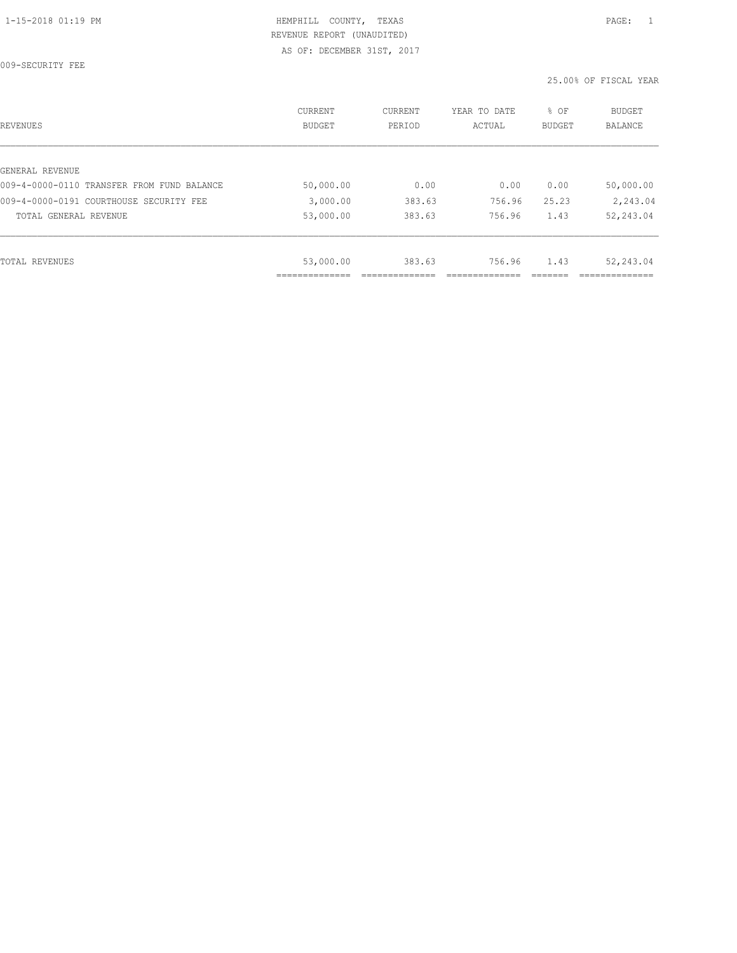009-SECURITY FEE

| REVENUES                                   | <b>CURRENT</b><br><b>BUDGET</b> | CURRENT<br>PERIOD | YEAR TO DATE<br>ACTUAL | % OF<br>BUDGET | BUDGET<br><b>BALANCE</b> |
|--------------------------------------------|---------------------------------|-------------------|------------------------|----------------|--------------------------|
|                                            |                                 |                   |                        |                |                          |
| GENERAL REVENUE                            |                                 |                   |                        |                |                          |
| 009-4-0000-0110 TRANSFER FROM FUND BALANCE | 50,000.00                       | 0.00              | 0.00                   | 0.00           | 50,000.00                |
| 009-4-0000-0191 COURTHOUSE SECURITY FEE    | 3,000.00                        | 383.63            | 756.96                 | 25.23          | 2,243.04                 |
| TOTAL GENERAL REVENUE                      | 53,000.00                       | 383.63            | 756.96                 | 1.43           | 52,243.04                |
|                                            |                                 |                   |                        |                |                          |
| TOTAL REVENUES                             | 53,000.00                       | 383.63            | 756.96                 | 1.43           | 52,243.04                |
|                                            |                                 |                   |                        |                |                          |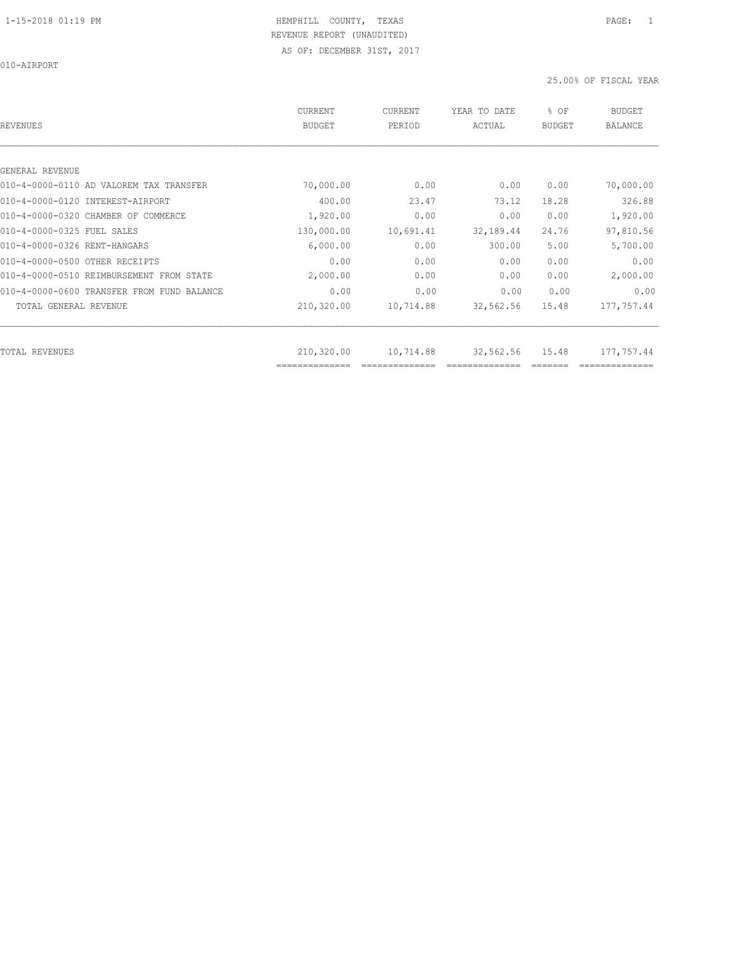010-AIRPORT

| REVENUES                                   | CURRENT<br><b>BUDGET</b>     | CURRENT<br>PERIOD | YEAR TO DATE<br>ACTUAL | % OF<br><b>BUDGET</b> | <b>BUDGET</b><br><b>BALANCE</b> |
|--------------------------------------------|------------------------------|-------------------|------------------------|-----------------------|---------------------------------|
|                                            |                              |                   |                        |                       |                                 |
| GENERAL REVENUE                            |                              |                   |                        |                       |                                 |
| 010-4-0000-0110 AD VALOREM TAX TRANSFER    | 70,000.00                    | 0.00              | 0.00                   | 0.00                  | 70,000.00                       |
| 010-4-0000-0120 INTEREST-AIRPORT           | 400.00                       | 23.47             | 73.12                  | 18.28                 | 326.88                          |
| 010-4-0000-0320 CHAMBER OF COMMERCE        | 1,920.00                     | 0.00              | 0.00                   | 0.00                  | 1,920.00                        |
| 010-4-0000-0325 FUEL SALES                 | 130,000.00                   | 10,691.41         | 32, 189.44             | 24.76                 | 97,810.56                       |
| 010-4-0000-0326 RENT-HANGARS               | 6,000.00                     | 0.00              | 300.00                 | 5.00                  | 5,700.00                        |
| 010-4-0000-0500 OTHER RECEIPTS             | 0.00                         | 0.00              | 0.00                   | 0.00                  | 0.00                            |
| 010-4-0000-0510 REIMBURSEMENT FROM STATE   | 2,000.00                     | 0.00              | 0.00                   | 0.00                  | 2,000.00                        |
| 010-4-0000-0600 TRANSFER FROM FUND BALANCE | 0.00                         | 0.00              | 0.00                   | 0.00                  | 0.00                            |
| TOTAL GENERAL REVENUE                      | 210,320.00                   | 10,714.88         | 32,562.56              | 15.48                 | 177,757.44                      |
|                                            |                              |                   |                        |                       |                                 |
| TOTAL REVENUES                             | 210,320.00<br>============== | 10,714.88         | 32,562.56              | 15.48                 | 177,757.44                      |
|                                            |                              |                   |                        |                       |                                 |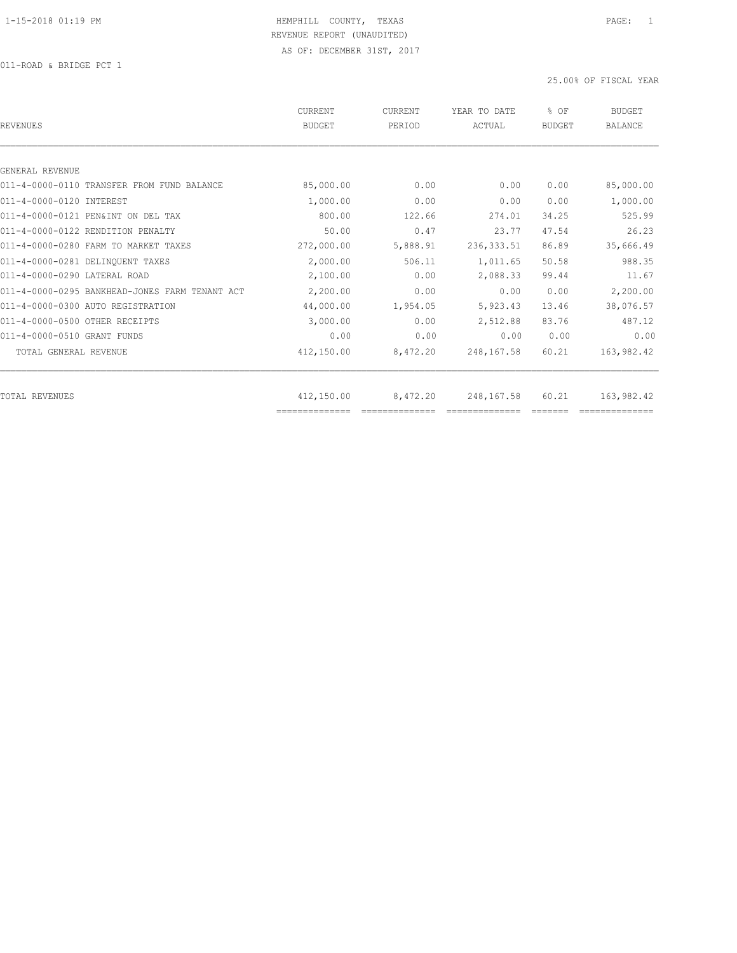| REVENUES                                       | CURRENT<br><b>BUDGET</b> | <b>CURRENT</b><br>PERIOD | YEAR TO DATE<br>ACTUAL | % OF<br><b>BUDGET</b> | <b>BUDGET</b><br><b>BALANCE</b> |
|------------------------------------------------|--------------------------|--------------------------|------------------------|-----------------------|---------------------------------|
|                                                |                          |                          |                        |                       |                                 |
| GENERAL REVENUE                                |                          |                          |                        |                       |                                 |
| 011-4-0000-0110 TRANSFER FROM FUND BALANCE     | 85,000.00                | 0.00                     | 0.00                   | 0.00                  | 85,000.00                       |
| 011-4-0000-0120 INTEREST                       | 1,000.00                 | 0.00                     | 0.00                   | 0.00                  | 1,000.00                        |
| 011-4-0000-0121 PEN&INT ON DEL TAX             | 800.00                   | 122.66                   | 274.01                 | 34.25                 | 525.99                          |
| 011-4-0000-0122 RENDITION PENALTY              | 50.00                    | 0.47                     | 23.77                  | 47.54                 | 26.23                           |
| 011-4-0000-0280 FARM TO MARKET TAXES           | 272,000.00               | 5,888.91                 | 236, 333.51            | 86.89                 | 35,666.49                       |
| 011-4-0000-0281 DELINQUENT TAXES               | 2,000.00                 | 506.11                   | 1,011.65               | 50.58                 | 988.35                          |
| 011-4-0000-0290 LATERAL ROAD                   | 2,100.00                 | 0.00                     | 2,088.33               | 99.44                 | 11.67                           |
| 011-4-0000-0295 BANKHEAD-JONES FARM TENANT ACT | 2,200.00                 | 0.00                     | 0.00                   | 0.00                  | 2,200.00                        |
| 011-4-0000-0300 AUTO REGISTRATION              | 44,000.00                | 1,954.05                 | 5,923.43               | 13.46                 | 38,076.57                       |
| 011-4-0000-0500 OTHER RECEIPTS                 | 3,000.00                 | 0.00                     | 2,512.88               | 83.76                 | 487.12                          |
| 011-4-0000-0510 GRANT FUNDS                    | 0.00                     | 0.00                     | 0.00                   | 0.00                  | 0.00                            |
| TOTAL GENERAL REVENUE                          | 412,150.00               | 8,472.20                 | 248,167.58             | 60.21                 | 163,982.42                      |
|                                                |                          |                          |                        |                       |                                 |
| TOTAL REVENUES                                 | 412,150.00               | 8,472.20                 | 248,167.58             | 60.21                 | 163,982.42                      |
|                                                | ==============           |                          |                        |                       |                                 |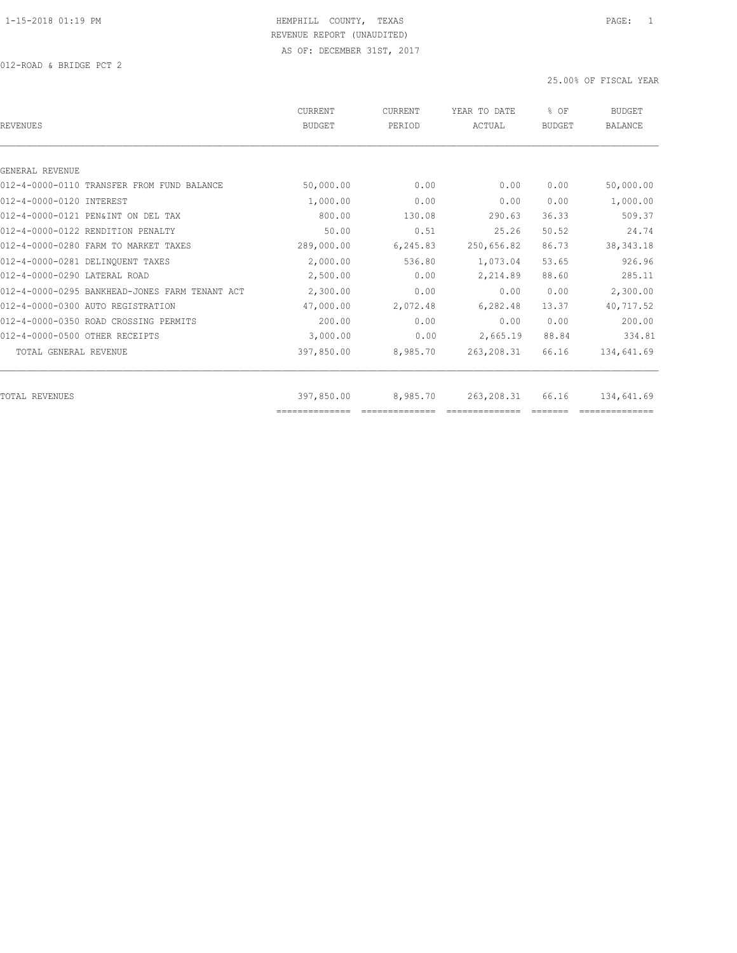| REVENUES                                       | CURRENT<br><b>BUDGET</b> | <b>CURRENT</b><br>PERIOD | YEAR TO DATE<br>ACTUAL | % OF<br><b>BUDGET</b> | <b>BUDGET</b><br><b>BALANCE</b> |
|------------------------------------------------|--------------------------|--------------------------|------------------------|-----------------------|---------------------------------|
|                                                |                          |                          |                        |                       |                                 |
| GENERAL REVENUE                                |                          |                          |                        |                       |                                 |
| 012-4-0000-0110 TRANSFER FROM FUND BALANCE     | 50,000.00                | 0.00                     | 0.00                   | 0.00                  | 50,000.00                       |
| 012-4-0000-0120 INTEREST                       | 1,000.00                 | 0.00                     | 0.00                   | 0.00                  | 1,000.00                        |
| 012-4-0000-0121 PEN&INT ON DEL TAX             | 800.00                   | 130.08                   | 290.63                 | 36.33                 | 509.37                          |
| 012-4-0000-0122 RENDITION PENALTY              | 50.00                    | 0.51                     | 25.26                  | 50.52                 | 24.74                           |
| 012-4-0000-0280 FARM TO MARKET TAXES           | 289,000.00               | 6,245.83                 | 250,656.82             | 86.73                 | 38, 343. 18                     |
| 012-4-0000-0281 DELINQUENT TAXES               | 2,000.00                 | 536.80                   | 1,073.04               | 53.65                 | 926.96                          |
| 012-4-0000-0290 LATERAL ROAD                   | 2,500.00                 | 0.00                     | 2,214.89               | 88.60                 | 285.11                          |
| 012-4-0000-0295 BANKHEAD-JONES FARM TENANT ACT | 2,300.00                 | 0.00                     | 0.00                   | 0.00                  | 2,300.00                        |
| 012-4-0000-0300 AUTO REGISTRATION              | 47,000.00                | 2,072.48                 | 6,282.48               | 13.37                 | 40,717.52                       |
| 012-4-0000-0350 ROAD CROSSING PERMITS          | 200.00                   | 0.00                     | 0.00                   | 0.00                  | 200.00                          |
| 012-4-0000-0500 OTHER RECEIPTS                 | 3,000.00                 | 0.00                     | 2,665.19               | 88.84                 | 334.81                          |
| TOTAL GENERAL REVENUE                          | 397,850.00               | 8,985.70                 | 263, 208.31            | 66.16                 | 134,641.69                      |
|                                                |                          |                          |                        |                       |                                 |
| TOTAL REVENUES                                 | 397,850.00               | 8,985.70                 | 263, 208.31            | 66.16                 | 134,641.69                      |
|                                                |                          |                          |                        |                       |                                 |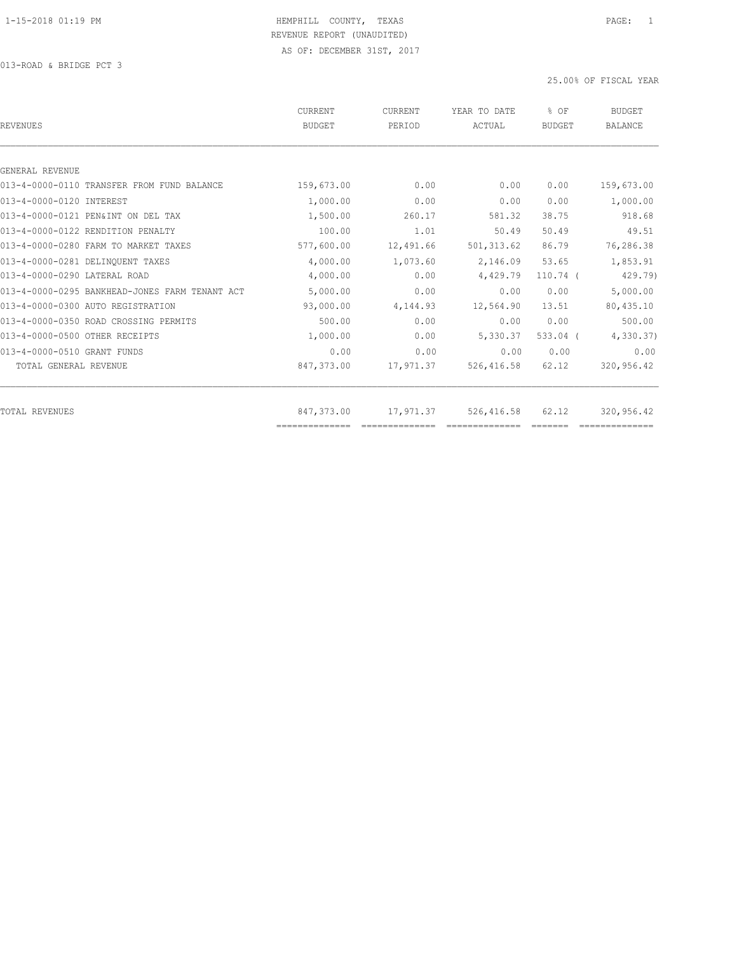| CURRENT<br><b>BUDGET</b> | <b>CURRENT</b><br>PERIOD | YEAR TO DATE<br>ACTUAL | % OF<br>BUDGET          | <b>BUDGET</b><br><b>BALANCE</b> |
|--------------------------|--------------------------|------------------------|-------------------------|---------------------------------|
|                          |                          |                        |                         |                                 |
|                          |                          |                        |                         |                                 |
| 159,673.00               | 0.00                     | 0.00                   | 0.00                    | 159,673.00                      |
| 1,000.00                 | 0.00                     | 0.00                   | 0.00                    | 1,000.00                        |
| 1,500.00                 | 260.17                   | 581.32                 | 38.75                   | 918.68                          |
| 100.00                   | 1.01                     | 50.49                  | 50.49                   | 49.51                           |
| 577,600.00               | 12,491.66                | 501, 313.62            | 86.79                   | 76,286.38                       |
| 4,000.00                 | 1,073.60                 | 2,146.09               | 53.65                   | 1,853.91                        |
| 4,000.00                 | 0.00                     | 4,429.79               | $110.74$ (              | 429.79)                         |
| 5,000.00                 | 0.00                     | 0.00                   | 0.00                    | 5,000.00                        |
| 93,000.00                | 4,144.93                 | 12,564.90              | 13.51                   | 80,435.10                       |
| 500.00                   | 0.00                     | 0.00                   | 0.00                    | 500.00                          |
| 1,000.00                 | 0.00                     | 5,330.37               | $533.04$ (              | 4,330.37                        |
| 0.00                     | 0.00                     | 0.00                   | 0.00                    | 0.00                            |
| 847,373.00               | 17,971.37                | 526, 416.58            | 62.12                   | 320,956.42                      |
|                          |                          |                        |                         | 320,956.42                      |
|                          | 847,373.00               |                        | 17,971.37<br>526,416.58 | 62.12                           |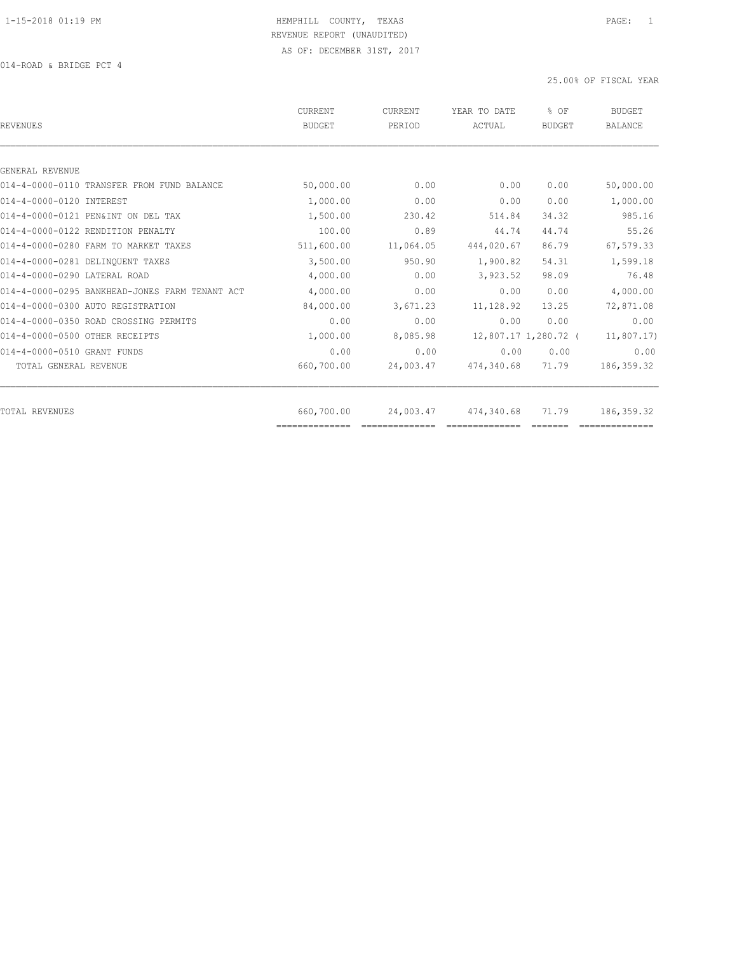| <b>REVENUES</b>                                | CURRENT<br><b>BUDGET</b>     | <b>CURRENT</b><br>PERIOD | YEAR TO DATE<br>ACTUAL | % OF<br><b>BUDGET</b> | <b>BUDGET</b><br><b>BALANCE</b> |
|------------------------------------------------|------------------------------|--------------------------|------------------------|-----------------------|---------------------------------|
|                                                |                              |                          |                        |                       |                                 |
| GENERAL REVENUE                                |                              |                          |                        |                       |                                 |
| 014-4-0000-0110 TRANSFER FROM FUND BALANCE     | 50,000.00                    | 0.00                     | 0.00                   | 0.00                  | 50,000.00                       |
| 014-4-0000-0120 INTEREST                       | 1,000.00                     | 0.00                     | 0.00                   | 0.00                  | 1,000.00                        |
| 014-4-0000-0121 PEN&INT ON DEL TAX             | 1,500.00                     | 230.42                   | 514.84                 | 34.32                 | 985.16                          |
| 014-4-0000-0122 RENDITION PENALTY              | 100.00                       | 0.89                     | 44.74                  | 44.74                 | 55.26                           |
| 014-4-0000-0280 FARM TO MARKET TAXES           | 511,600.00                   | 11,064.05                | 444,020.67             | 86.79                 | 67,579.33                       |
| 014-4-0000-0281 DELINOUENT TAXES               | 3,500.00                     | 950.90                   | 1,900.82               | 54.31                 | 1,599.18                        |
| 014-4-0000-0290 LATERAL ROAD                   | 4,000.00                     | 0.00                     | 3,923.52               | 98.09                 | 76.48                           |
| 014-4-0000-0295 BANKHEAD-JONES FARM TENANT ACT | 4,000.00                     | 0.00                     | 0.00                   | 0.00                  | 4,000.00                        |
| 014-4-0000-0300 AUTO REGISTRATION              | 84,000.00                    | 3,671.23                 | 11,128.92              | 13.25                 | 72,871.08                       |
| 014-4-0000-0350 ROAD CROSSING PERMITS          | 0.00                         | 0.00                     | 0.00                   | 0.00                  | 0.00                            |
| 014-4-0000-0500 OTHER RECEIPTS                 | 1,000.00                     | 8,085.98                 |                        | 12,807.17 1,280.72 (  | 11,807.17)                      |
| 014-4-0000-0510 GRANT FUNDS                    | 0.00                         | 0.00                     | 0.00                   | 0.00                  | 0.00                            |
| TOTAL GENERAL REVENUE                          | 660,700.00                   | 24,003.47                | 474,340.68             | 71.79                 | 186, 359.32                     |
|                                                |                              |                          |                        |                       |                                 |
| TOTAL REVENUES                                 | 660,700.00<br>============== | 24,003.47                | 474,340.68             | 71.79                 | 186, 359.32                     |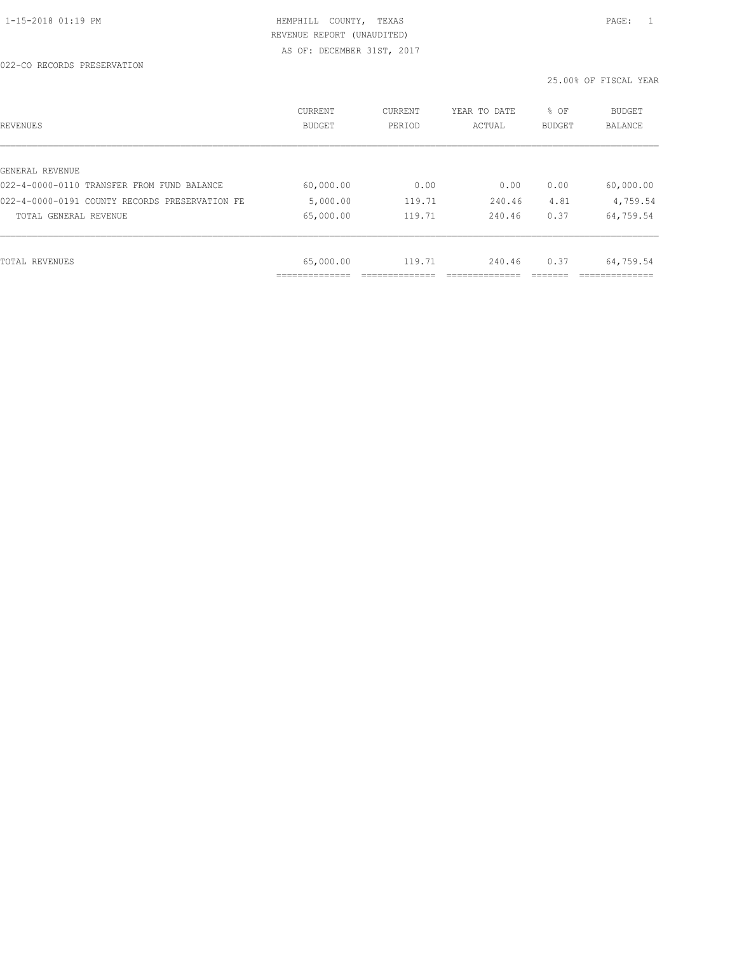| REVENUES                                       | <b>CURRENT</b><br><b>BUDGET</b> | CURRENT<br>PERIOD | YEAR TO DATE<br>ACTUAL | % OF<br><b>BUDGET</b> | <b>BUDGET</b><br>BALANCE |
|------------------------------------------------|---------------------------------|-------------------|------------------------|-----------------------|--------------------------|
|                                                |                                 |                   |                        |                       |                          |
| GENERAL REVENUE                                |                                 |                   |                        |                       |                          |
| 022-4-0000-0110 TRANSFER FROM FUND BALANCE     | 60,000.00                       | 0.00              | 0.00                   | 0.00                  | 60,000.00                |
| 022-4-0000-0191 COUNTY RECORDS PRESERVATION FE | 5,000.00                        | 119.71            | 240.46                 | 4.81                  | 4,759.54                 |
| TOTAL GENERAL REVENUE                          | 65,000.00                       | 119.71            | 240.46                 | 0.37                  | 64,759.54                |
|                                                |                                 |                   |                        |                       |                          |
| TOTAL REVENUES                                 | 65,000.00                       | 119.71            | 240.46                 | 0.37                  | 64,759.54                |
|                                                |                                 |                   |                        |                       |                          |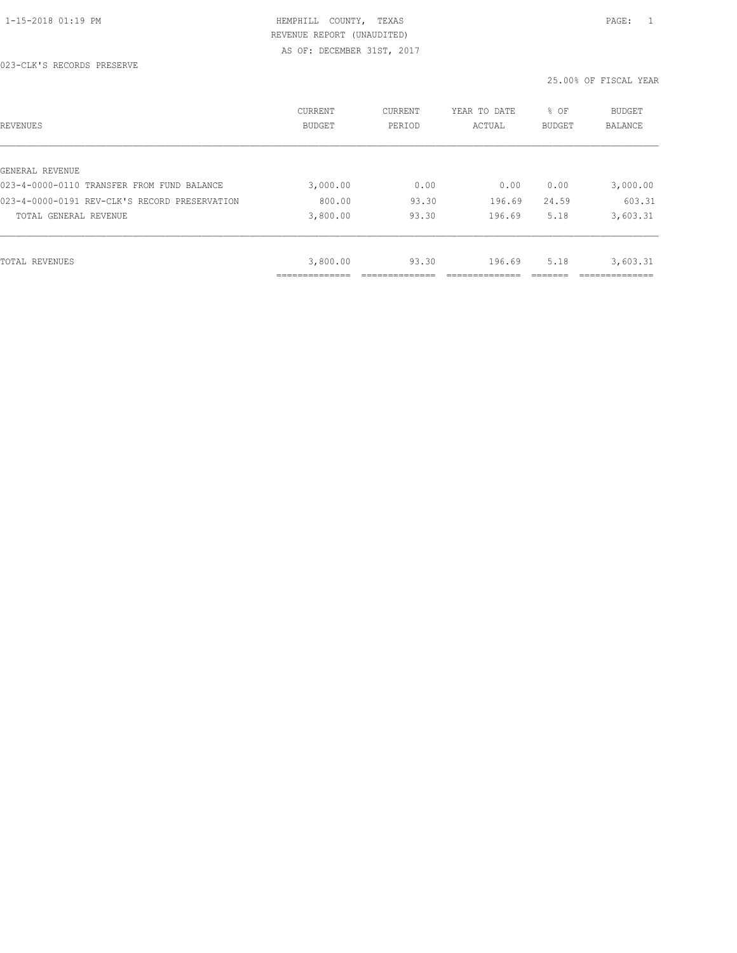| REVENUES                                      | CURRENT<br><b>BUDGET</b> | CURRENT<br>PERIOD | YEAR TO DATE<br>ACTUAL | % OF<br>BUDGET | BUDGET<br>BALANCE |
|-----------------------------------------------|--------------------------|-------------------|------------------------|----------------|-------------------|
|                                               |                          |                   |                        |                |                   |
| GENERAL REVENUE                               |                          |                   |                        |                |                   |
| 023-4-0000-0110 TRANSFER FROM FUND BALANCE    | 3,000.00                 | 0.00              | 0.00                   | 0.00           | 3,000.00          |
| 023-4-0000-0191 REV-CLK'S RECORD PRESERVATION | 800.00                   | 93.30             | 196.69                 | 24.59          | 603.31            |
| TOTAL GENERAL REVENUE                         | 3,800.00                 | 93.30             | 196.69                 | 5.18           | 3,603.31          |
|                                               |                          |                   |                        |                |                   |
| TOTAL REVENUES                                | 3,800.00                 | 93.30             | 196.69                 | 5.18           | 3,603.31          |
|                                               |                          |                   |                        |                |                   |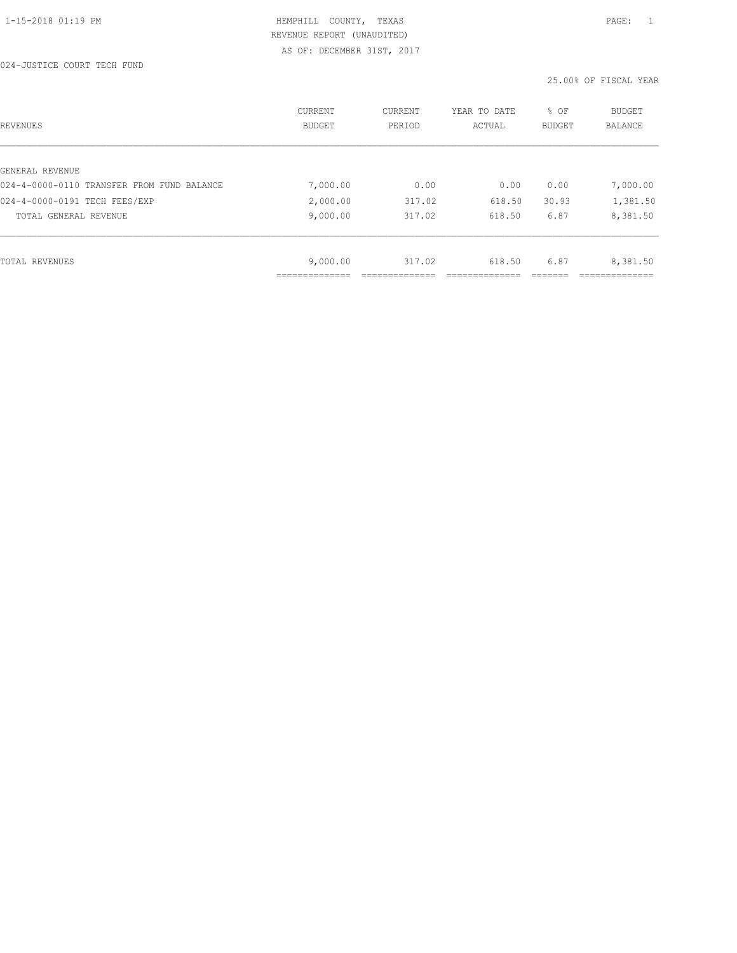| REVENUES                                   | CURRENT<br><b>BUDGET</b> | CURRENT<br>PERIOD | YEAR TO DATE<br>ACTUAL | % OF<br>BUDGET | BUDGET<br>BALANCE |
|--------------------------------------------|--------------------------|-------------------|------------------------|----------------|-------------------|
|                                            |                          |                   |                        |                |                   |
| GENERAL REVENUE                            |                          |                   |                        |                |                   |
| 024-4-0000-0110 TRANSFER FROM FUND BALANCE | 7,000.00                 | 0.00              | 0.00                   | 0.00           | 7,000.00          |
| 024-4-0000-0191 TECH FEES/EXP              | 2,000.00                 | 317.02            | 618.50                 | 30.93          | 1,381.50          |
| TOTAL GENERAL REVENUE                      | 9,000.00                 | 317.02            | 618.50                 | 6.87           | 8,381.50          |
|                                            |                          |                   |                        |                |                   |
| TOTAL REVENUES                             | 9,000.00                 | 317.02            | 618.50                 | 6.87           | 8,381.50          |
|                                            |                          |                   |                        |                |                   |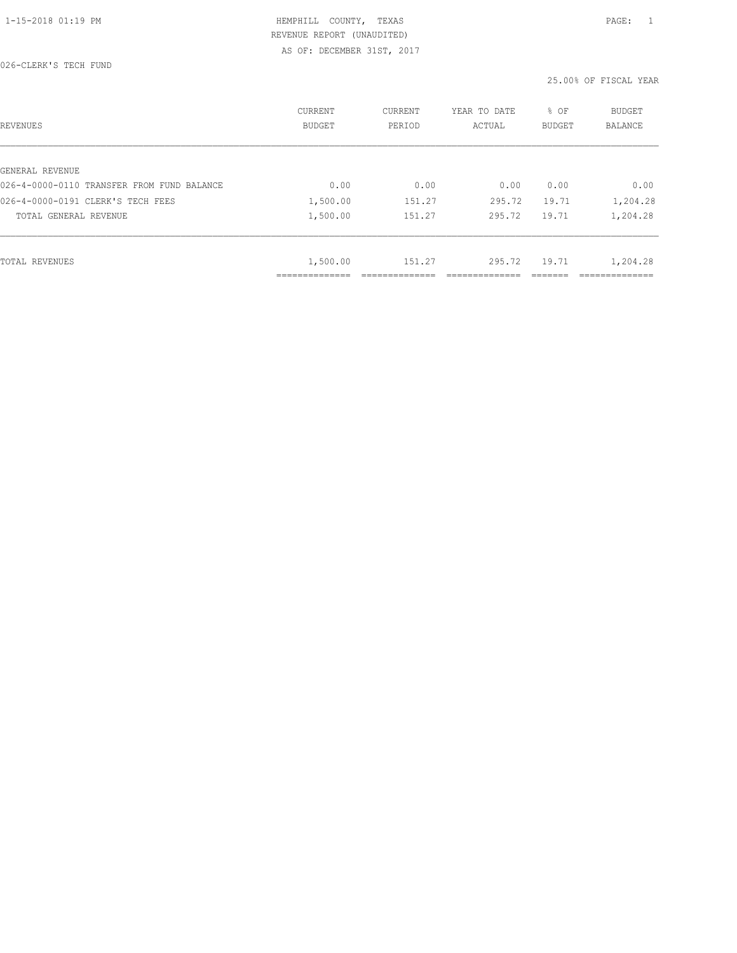| REVENUES                                   | CURRENT<br><b>BUDGET</b> | CURRENT<br>PERIOD | YEAR TO DATE<br>ACTUAL | % OF<br><b>BUDGET</b> | <b>BUDGET</b><br>BALANCE |
|--------------------------------------------|--------------------------|-------------------|------------------------|-----------------------|--------------------------|
|                                            |                          |                   |                        |                       |                          |
| GENERAL REVENUE                            |                          |                   |                        |                       |                          |
| 026-4-0000-0110 TRANSFER FROM FUND BALANCE | 0.00                     | 0.00              | 0.00                   | 0.00                  | 0.00                     |
| 026-4-0000-0191 CLERK'S TECH FEES          | 1,500.00                 | 151.27            | 295.72                 | 19.71                 | 1,204.28                 |
| TOTAL GENERAL REVENUE                      | 1,500.00                 | 151.27            | 295.72                 | 19.71                 | 1,204.28                 |
|                                            |                          |                   |                        |                       |                          |
| TOTAL REVENUES                             | 1,500.00                 | 151.27            | 295.72                 | 19.71                 | 1,204.28                 |
|                                            | ------------             |                   |                        |                       | ----------               |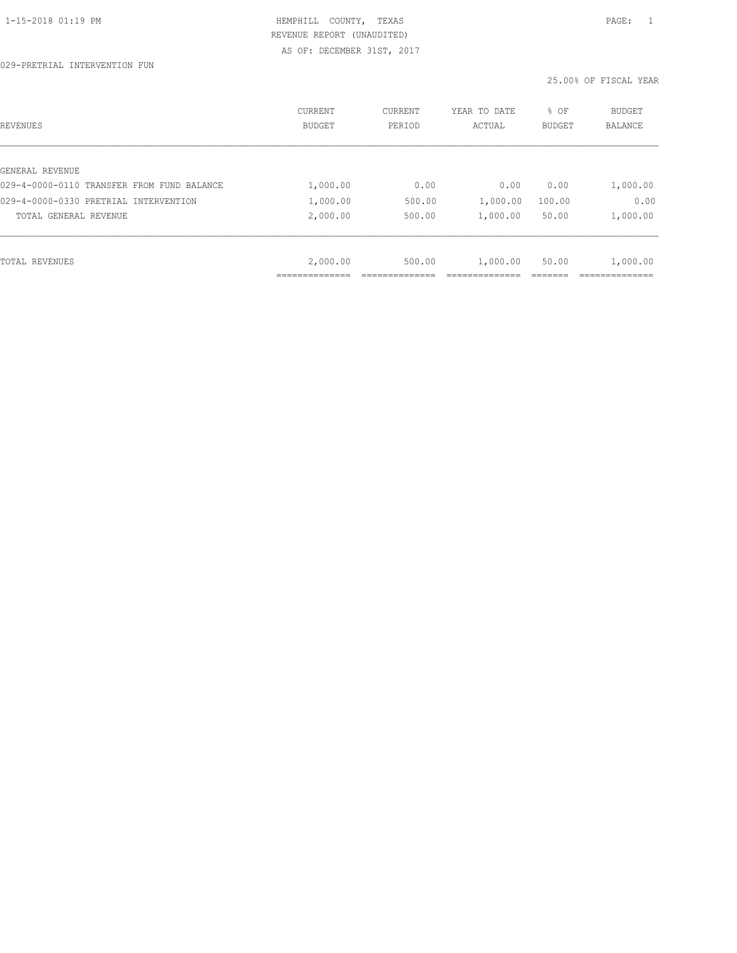| REVENUES                                   | <b>CURRENT</b><br><b>BUDGET</b> | CURRENT<br>PERIOD | YEAR TO DATE<br>ACTUAL | % OF<br><b>BUDGET</b> | BUDGET<br>BALANCE |
|--------------------------------------------|---------------------------------|-------------------|------------------------|-----------------------|-------------------|
|                                            |                                 |                   |                        |                       |                   |
| GENERAL REVENUE                            |                                 |                   |                        |                       |                   |
| 029-4-0000-0110 TRANSFER FROM FUND BALANCE | 1,000.00                        | 0.00              | 0.00                   | 0.00                  | 1,000.00          |
| 029-4-0000-0330 PRETRIAL INTERVENTION      | 1,000.00                        | 500.00            | 1,000.00               | 100.00                | 0.00              |
| TOTAL GENERAL REVENUE                      | 2,000.00                        | 500.00            | 1,000.00               | 50.00                 | 1,000.00          |
|                                            |                                 |                   |                        |                       |                   |
| TOTAL REVENUES                             | 2,000.00                        | 500.00            | 1,000.00               | 50.00                 | 1,000.00          |
|                                            |                                 |                   |                        |                       |                   |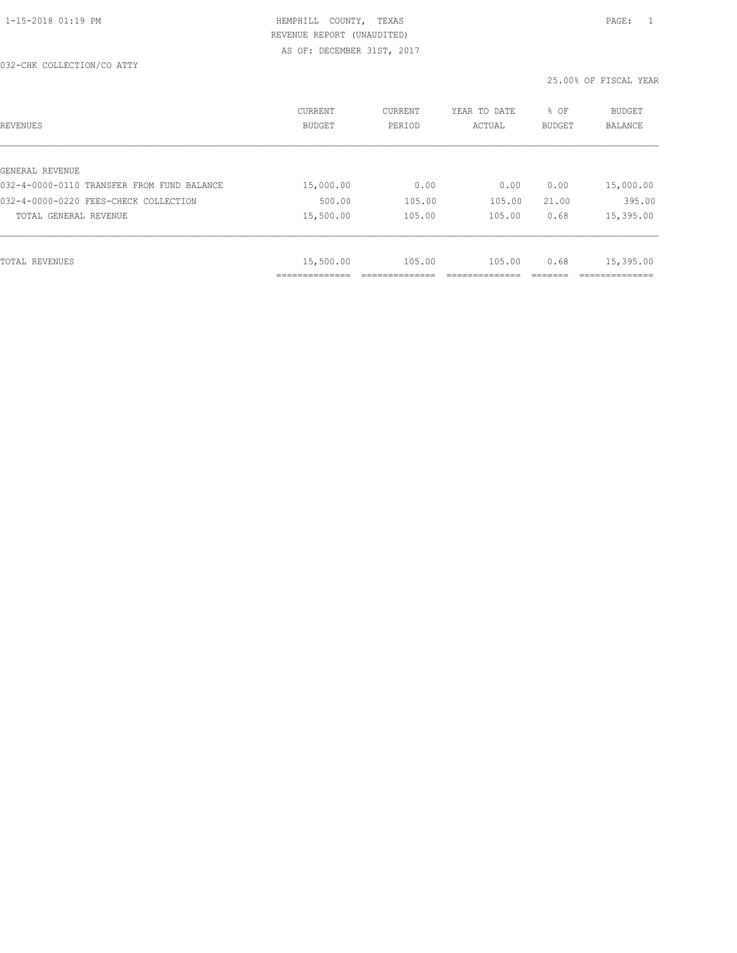| REVENUES                                   | CURRENT<br><b>BUDGET</b> | CURRENT<br>PERIOD | YEAR TO DATE<br>ACTUAL | % OF<br><b>BUDGET</b> | <b>BUDGET</b><br>BALANCE |
|--------------------------------------------|--------------------------|-------------------|------------------------|-----------------------|--------------------------|
|                                            |                          |                   |                        |                       |                          |
| GENERAL REVENUE                            |                          |                   |                        |                       |                          |
| 032-4-0000-0110 TRANSFER FROM FUND BALANCE | 15,000.00                | 0.00              | 0.00                   | 0.00                  | 15,000.00                |
| 032-4-0000-0220 FEES-CHECK COLLECTION      | 500.00                   | 105.00            | 105.00                 | 21.00                 | 395.00                   |
| TOTAL GENERAL REVENUE                      | 15,500.00                | 105.00            | 105.00                 | 0.68                  | 15,395.00                |
|                                            |                          |                   |                        |                       |                          |
| TOTAL REVENUES                             | 15,500.00                | 105.00            | 105.00                 | 0.68                  | 15,395.00                |
|                                            | ----------               |                   |                        |                       | ---------                |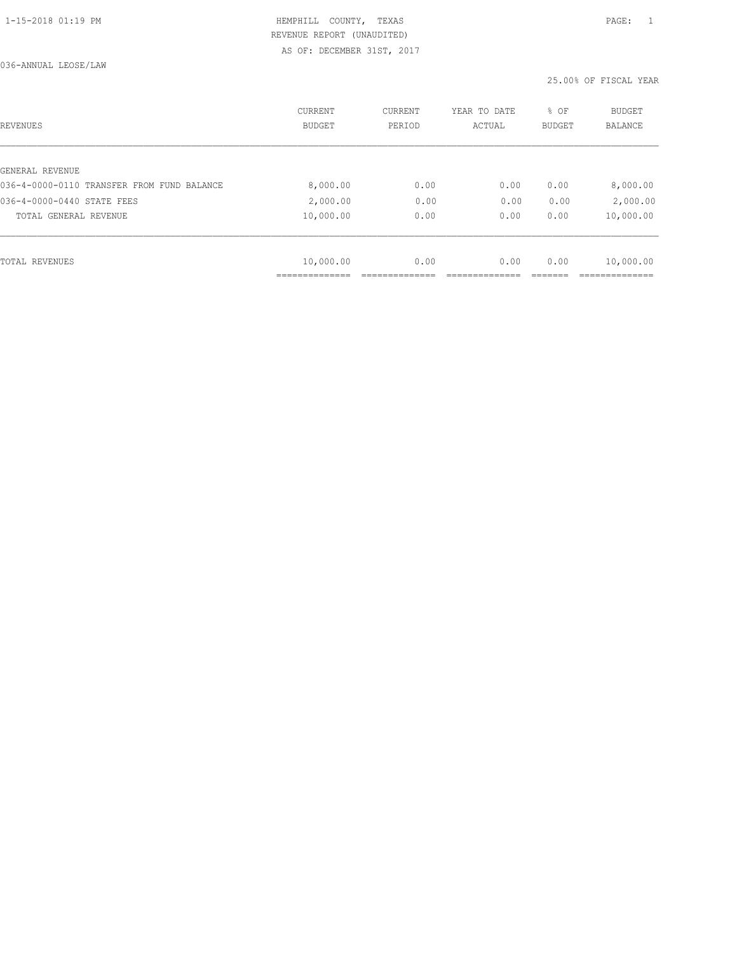036-ANNUAL LEOSE/LAW

| REVENUES                                   | <b>CURRENT</b><br><b>BUDGET</b> | CURRENT<br>PERIOD | YEAR TO DATE<br>ACTUAL | % OF<br>BUDGET | BUDGET<br><b>BALANCE</b> |
|--------------------------------------------|---------------------------------|-------------------|------------------------|----------------|--------------------------|
|                                            |                                 |                   |                        |                |                          |
| GENERAL REVENUE                            |                                 |                   |                        |                |                          |
| 036-4-0000-0110 TRANSFER FROM FUND BALANCE | 8,000.00                        | 0.00              | 0.00                   | 0.00           | 8,000.00                 |
| 036-4-0000-0440 STATE FEES                 | 2,000.00                        | 0.00              | 0.00                   | 0.00           | 2,000.00                 |
| TOTAL GENERAL REVENUE                      | 10,000.00                       | 0.00              | 0.00                   | 0.00           | 10,000.00                |
|                                            |                                 |                   |                        |                |                          |
| TOTAL REVENUES                             | 10,000.00                       | 0.00              | 0.00                   | 0.00           | 10,000.00                |
|                                            |                                 |                   |                        |                |                          |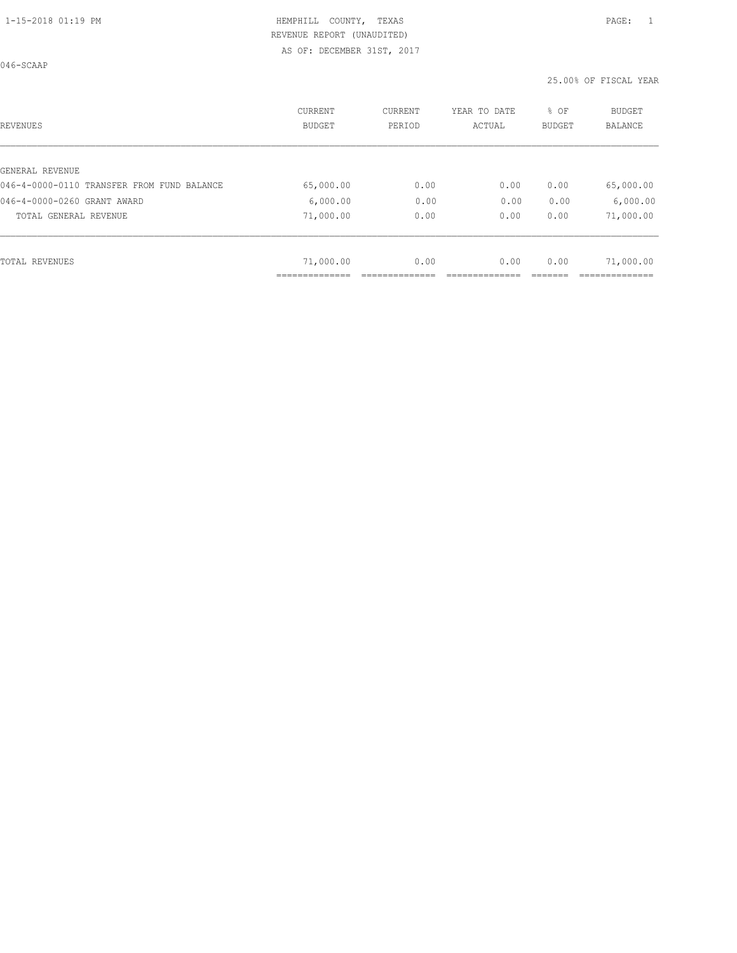046-SCAAP

| REVENUES                                   | <b>CURRENT</b><br><b>BUDGET</b> | CURRENT<br>PERIOD | YEAR TO DATE<br>ACTUAL | % OF<br>BUDGET | BUDGET<br><b>BALANCE</b> |
|--------------------------------------------|---------------------------------|-------------------|------------------------|----------------|--------------------------|
|                                            |                                 |                   |                        |                |                          |
| GENERAL REVENUE                            |                                 |                   |                        |                |                          |
| 046-4-0000-0110 TRANSFER FROM FUND BALANCE | 65,000.00                       | 0.00              | 0.00                   | 0.00           | 65,000.00                |
| 046-4-0000-0260 GRANT AWARD                | 6,000.00                        | 0.00              | 0.00                   | 0.00           | 6,000.00                 |
| TOTAL GENERAL REVENUE                      | 71,000.00                       | 0.00              | 0.00                   | 0.00           | 71,000.00                |
|                                            |                                 |                   |                        |                |                          |
| TOTAL REVENUES                             | 71,000.00                       | 0.00              | 0.00                   | 0.00           | 71,000.00                |
|                                            |                                 |                   |                        |                |                          |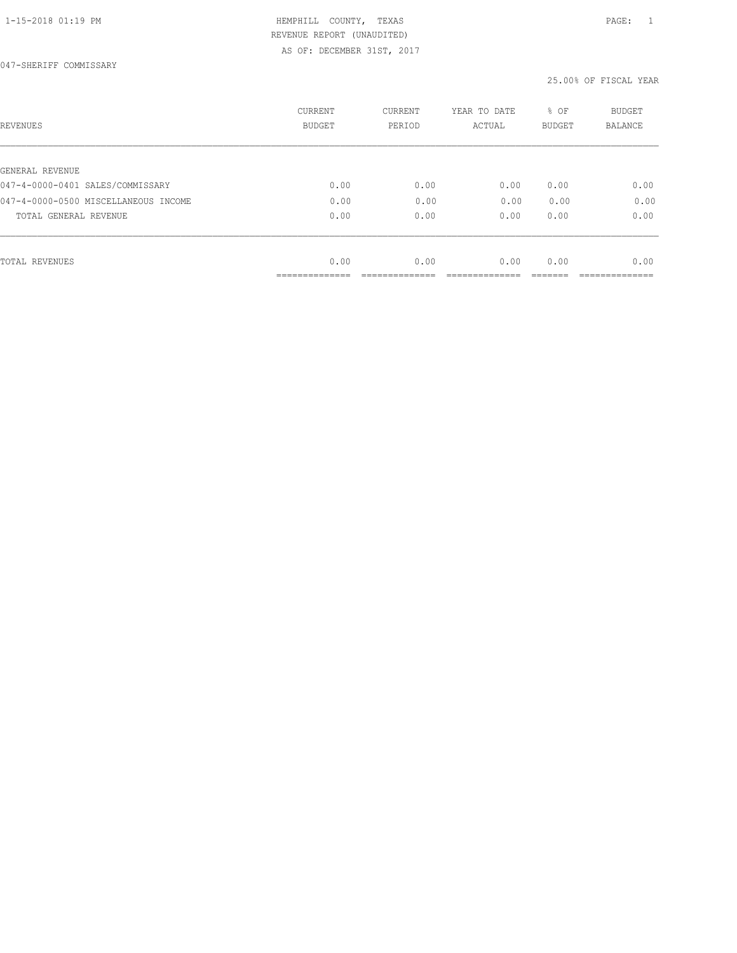| REVENUES                             | <b>CURRENT</b><br><b>BUDGET</b> | CURRENT<br>PERIOD | YEAR TO DATE<br>ACTUAL | % OF<br>BUDGET | BUDGET<br><b>BALANCE</b> |
|--------------------------------------|---------------------------------|-------------------|------------------------|----------------|--------------------------|
|                                      |                                 |                   |                        |                |                          |
| GENERAL REVENUE                      |                                 |                   |                        |                |                          |
| 047-4-0000-0401 SALES/COMMISSARY     | 0.00                            | 0.00              | 0.00                   | 0.00           | 0.00                     |
| 047-4-0000-0500 MISCELLANEOUS INCOME | 0.00                            | 0.00              | 0.00                   | 0.00           | 0.00                     |
| TOTAL GENERAL REVENUE                | 0.00                            | 0.00              | 0.00                   | 0.00           | 0.00                     |
|                                      |                                 |                   |                        |                |                          |
| TOTAL REVENUES                       | 0.00                            | 0.00              | 0.00                   | 0.00           | 0.00                     |
|                                      |                                 |                   |                        |                |                          |